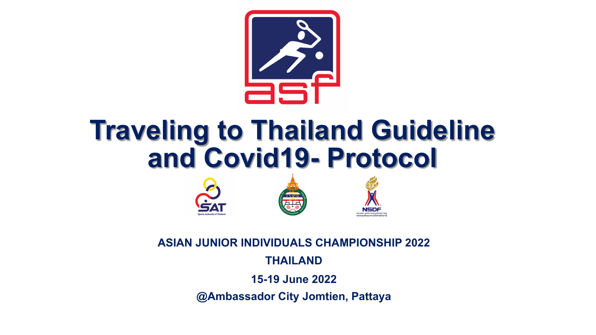

### **Traveling to Thailand Guideline and Covid19- Protocol**





**NSDF** 

**ASIAN JUNIOR INDIVIDUALS CHAMPIONSHIP 2022**

**THAILAND**

**15-19 June 2022**

**@Ambassador City Jomtien, Pattaya**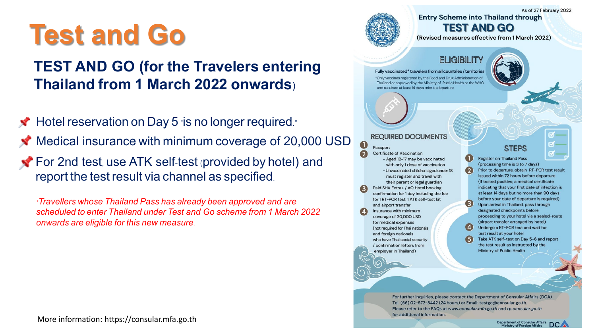### **Test and Go**

### **TEST AND GO (for the Travelers entering Thailand from 1 March 2022 onwards)**

◆ Hotel reservation on Day 5 "is no longer required."  $\blacktriangleright$  Medical insurance with minimum coverage of 20,000 USD For 2nd test, use ATK self-test (provided by hotel) and report the test result via channel as specified.

*\*Travellers whose Thailand Pass has already been approved and are scheduled to enter Thailand under Test and Go scheme from 1 March 2022 onwards are eligible for this new measure.*

As of 27 February 2022 **Entry Scheme into Thailand through TEST AND GO** 

(Revised measures effective from 1 March 2022)

#### **ELIGIBILITY**

Fully vaccinated\* travelers from all countries / territories \*Only vaccines registered by the Food and Drug Administration of Thailand or approved by the Ministry of Public Health or the WHO and received at least 14 days prior to departure



**REQUIRED DOCUMENTS** 

#### $\mathbf 0$ Passport **Certificate of Vaccination**

- Aged 12-17 may be vaccinated with only 1 dose of vaccination - Unvaccinated children aged under 18 must register and travel with their parent or legal guardian Paid SHA Extra+ / AQ Hotel booking confirmation for 1 day including the fee for 1 RT-PCR test, 1 ATK self-test kit and airport transfer Insurance with minimum coverage of 20,000 USD for medical expenses (not required for Thai nationals and foreign nationals who have Thai social security / confirmation letters from employer in Thailand)

#### **STEPS**

**Register on Thailand Pass** (processing time is 3 to 7 days) Prior to departure, obtain RT-PCR test result issued within 72 hours before departure (If tested positive, a medical certificate indicating that your first date of infection is at least 14 days but no more than 90 days before your date of departure is required) Upon arrival in Thailand, pass through designated checkpoints before proceeding to your hotel via a sealed-route (airport transfer arranged by hotel) Undergo a RT-PCR test and wait for test result at your hotel Take ATK self-test on Day 5-6 and report the test result as instructed by the Ministry of Public Health

For further inquiries, please contact the Department of Consular Affairs (DCA) Tel. (66) 02-572-8442 (24 hours) or Email: testgo@consular.go.th. Please refer to the FAQs at www.consular.mfa.go.th and tp.consular.go.th for additional information.

 $\left( 2\right)$ 

 $(3)$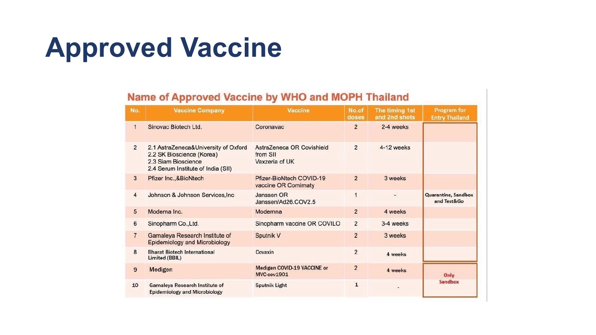## **Approved Vaccine**

#### Name of Approved Vaccine by WHO and MOPH Thailand

| No.            | <b>Vaccine Company</b>                                                                                                         | Vaccine                                                 | No.of<br>doses | The timing 1st<br>and 2nd shots | Program for<br><b>Entry Thailand</b>      |
|----------------|--------------------------------------------------------------------------------------------------------------------------------|---------------------------------------------------------|----------------|---------------------------------|-------------------------------------------|
| $\mathbf{1}$   | Sinovac Biotech Ltd.                                                                                                           | Coronavac                                               | $\overline{2}$ | 2-4 weeks                       |                                           |
| $\overline{2}$ | 2.1 AstraZeneca&University of Oxford<br>2.2 SK Bioscience (Korea)<br>2.3 Siam Bioscience<br>2.4 Serum Institute of India (SII) | AstraZeneca OR Covishield<br>from SII<br>Vaxzeria of UK | $\overline{2}$ | 4-12 weeks                      |                                           |
| 3              | Pfizer Inc., & BioNtech                                                                                                        | Pfizer-BioNtech COVID-19<br>vaccine OR Comirnaty        | $\overline{2}$ | 3 weeks                         |                                           |
| $\overline{4}$ | Johnson & Johnson Services, Inc.                                                                                               | Janssen OR<br>Janssen/Ad26.COV2.5                       | 1              |                                 | <b>Quarantine, Sandbox</b><br>and Test&Go |
| 5              | Moderna Inc.                                                                                                                   | Modernna                                                | $\overline{2}$ | 4 weeks                         |                                           |
| 6              | Sinopharm Co., Ltd.                                                                                                            | Sinopharm vaccine OR COVILO                             | $\overline{2}$ | 3-4 weeks                       |                                           |
| $\overline{7}$ | Gamaleya Research Institute of<br><b>Epidemiology and Microbiology</b>                                                         | Sputnik V                                               | $\overline{2}$ | 3 weeks                         |                                           |
| 8              | <b>Bharat Biotech International</b><br>Limited (BBIL)                                                                          | Covaxin                                                 | $\overline{2}$ | 4 weeks                         |                                           |
| 9              | Medigen                                                                                                                        | Medigen COVID-19 VACCINE or<br>MVC-cov1901              | $\overline{2}$ | 4 weeks                         | Only                                      |
| 10             | <b>Gamaleya Research Institute of</b><br><b>Epidemiology and Microbiology</b>                                                  | <b>Sputnik Light</b>                                    | $\mathbf{1}$   |                                 | Sandbox                                   |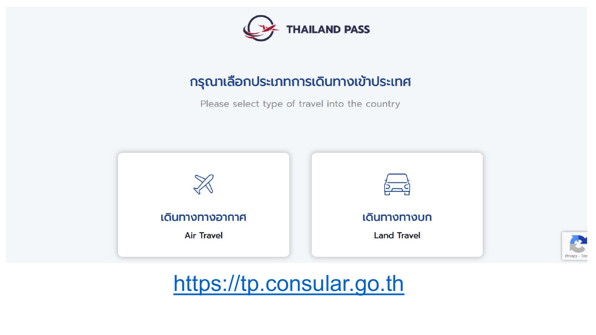

#### กรุณาเลือกประเภทการเดินทางเข้าประเทศ

Please select type of travel into the country





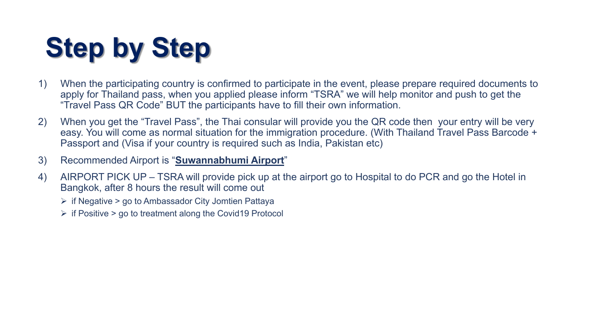# **Step by Step**

- 1) When the participating country is confirmed to participate in the event, please prepare required documents to apply for Thailand pass, when you applied please inform "TSRA" we will help monitor and push to get the "Travel Pass QR Code" BUT the participants have to fill their own information.
- 2) When you get the "Travel Pass", the Thai consular will provide you the QR code then your entry will be very easy. You will come as normal situation for the immigration procedure. (With Thailand Travel Pass Barcode + Passport and (Visa if your country is required such as India, Pakistan etc)
- 3) Recommended Airport is "**Suwannabhumi Airport**"
- 4) AIRPORT PICK UP TSRA will provide pick up at the airport go to Hospital to do PCR and go the Hotel in Bangkok, after 8 hours the result will come out
	- $\triangleright$  if Negative  $>$  go to Ambassador City Jomtien Pattaya
	- $\triangleright$  if Positive  $>$  go to treatment along the Covid19 Protocol